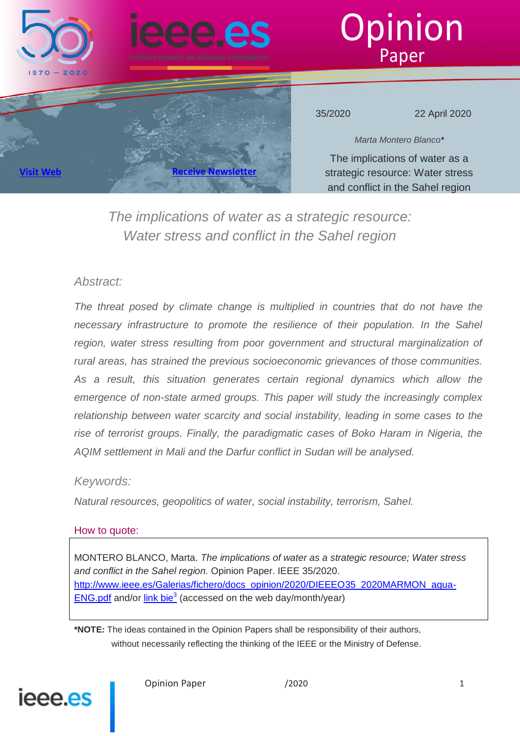

### *Abstract:*

The threat posed by climate change is multiplied in countries that do not have the *necessary infrastructure to promote the resilience of their population. In the Sahel* region, water stress resulting from poor government and structural marginalization of *rural areas, has strained the previous socioeconomic grievances of those communities.*  As a result, this situation generates certain regional dynamics which allow the *emergence of non-state armed groups. This paper will study the increasingly complex relationship between water scarcity and social instability, leading in some cases to the rise of terrorist groups. Finally, the paradigmatic cases of Boko Haram in Nigeria, the AQIM settlement in Mali and the Darfur conflict in Sudan will be analysed.*

### *Keywords:*

*Natural resources, geopolitics of water, social instability, terrorism, Sahel.*

### How to quote:

MONTERO BLANCO, Marta. *The implications of water as a strategic resource; Water stress and conflict in the Sahel region.* Opinion Paper. IEEE 35/2020. [http://www.ieee.es/Galerias/fichero/docs\\_opinion/2020/DIEEEO35\\_2020MARMON\\_agua-](http://www.ieee.es/Galerias/fichero/docs_opinion/2020/DIEEEO35_2020MARMON_agua-ENG.pdf)**[ENG.pdf](http://www.ieee.es/Galerias/fichero/docs_opinion/2020/DIEEEO35_2020MARMON_agua-ENG.pdf)** and/or  $\frac{\text{link} \text{bie}^3}{\text{base}}$  (accessed on the web day/month/year)

**\*NOTE:** The ideas contained in the Opinion Papers shall be responsibility of their authors, without necessarily reflecting the thinking of the IEEE or the Ministry of Defense.

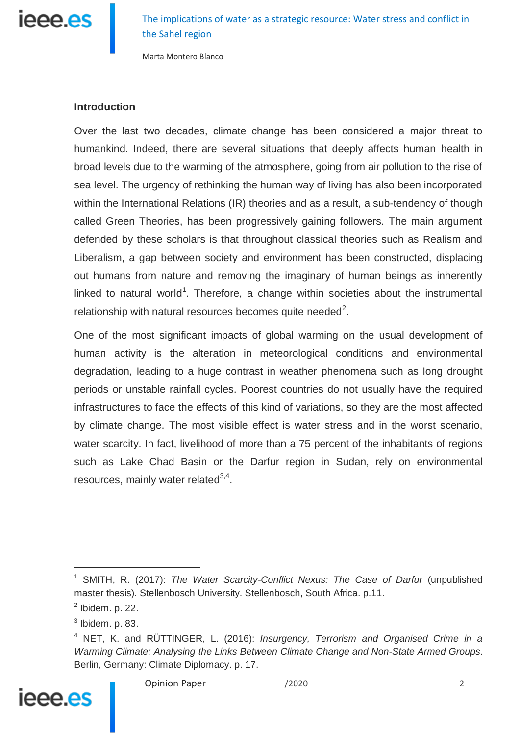

Marta Montero Blanco

#### **Introduction**

Over the last two decades, climate change has been considered a major threat to humankind. Indeed, there are several situations that deeply affects human health in broad levels due to the warming of the atmosphere, going from air pollution to the rise of sea level. The urgency of rethinking the human way of living has also been incorporated within the International Relations (IR) theories and as a result, a sub-tendency of though called Green Theories, has been progressively gaining followers. The main argument defended by these scholars is that throughout classical theories such as Realism and Liberalism, a gap between society and environment has been constructed, displacing out humans from nature and removing the imaginary of human beings as inherently linked to natural world<sup>1</sup>. Therefore, a change within societies about the instrumental relationship with natural resources becomes quite needed $^2$ .

One of the most significant impacts of global warming on the usual development of human activity is the alteration in meteorological conditions and environmental degradation, leading to a huge contrast in weather phenomena such as long drought periods or unstable rainfall cycles. Poorest countries do not usually have the required infrastructures to face the effects of this kind of variations, so they are the most affected by climate change. The most visible effect is water stress and in the worst scenario, water scarcity. In fact, livelihood of more than a 75 percent of the inhabitants of regions such as Lake Chad Basin or the Darfur region in Sudan, rely on environmental resources, mainly water related $3,4$ .

<sup>4</sup> NET, K. and RÜTTINGER, L. (2016): *Insurgency, Terrorism and Organised Crime in a Warming Climate: Analysing the Links Between Climate Change and Non-State Armed Groups*. Berlin, Germany: Climate Diplomacy. p. 17.



<sup>1</sup> SMITH, R. (2017): *The Water Scarcity-Conflict Nexus: The Case of Darfur* (unpublished master thesis). Stellenbosch University. Stellenbosch, South Africa. p.11.

 $<sup>2</sup>$  Ibidem. p. 22.</sup>

 $3$  Ibidem. p. 83.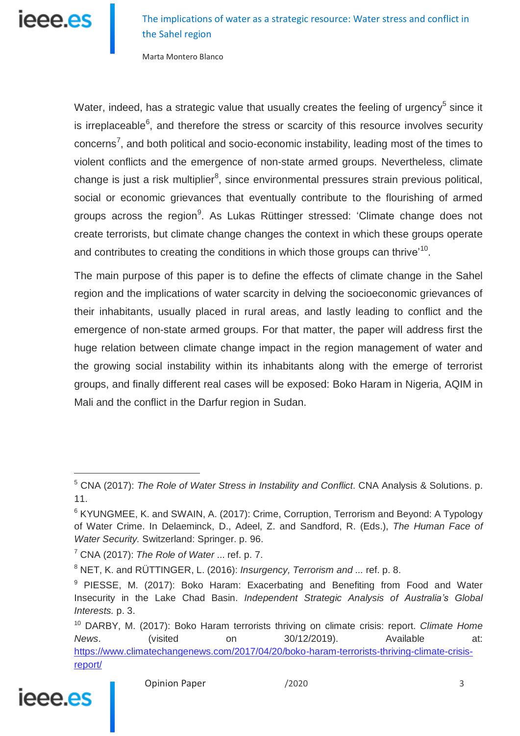The implications of water as a strategic resource: Water stress and conflict in the Sahel region

Marta Montero Blanco

Water, indeed, has a strategic value that usually creates the feeling of urgency<sup>5</sup> since it is irreplaceable<sup>6</sup>, and therefore the stress or scarcity of this resource involves security concerns<sup>7</sup>, and both political and socio-economic instability, leading most of the times to violent conflicts and the emergence of non-state armed groups. Nevertheless, climate change is just a risk multiplier<sup>8</sup>, since environmental pressures strain previous political, social or economic grievances that eventually contribute to the flourishing of armed groups across the region<sup>9</sup>. As Lukas Rüttinger stressed: 'Climate change does not create terrorists, but climate change changes the context in which these groups operate and contributes to creating the conditions in which those groups can thrive'<sup>10</sup>.

The main purpose of this paper is to define the effects of climate change in the Sahel region and the implications of water scarcity in delving the socioeconomic grievances of their inhabitants, usually placed in rural areas, and lastly leading to conflict and the emergence of non-state armed groups. For that matter, the paper will address first the huge relation between climate change impact in the region management of water and the growing social instability within its inhabitants along with the emerge of terrorist groups, and finally different real cases will be exposed: Boko Haram in Nigeria, AQIM in Mali and the conflict in the Darfur region in Sudan.

<sup>10</sup> DARBY, M. (2017): Boko Haram terrorists thriving on climate crisis: report. *Climate Home News*. (visited on 30/12/2019). Available at: [https://www.climatechangenews.com/2017/04/20/boko-haram-terrorists-thriving-climate-crisis](https://www.climatechangenews.com/2017/04/20/boko-haram-terrorists-thriving-climate-crisis-report/)[report/](https://www.climatechangenews.com/2017/04/20/boko-haram-terrorists-thriving-climate-crisis-report/)



<sup>5</sup> CNA (2017): *The Role of Water Stress in Instability and Conflict*. CNA Analysis & Solutions. p. 11.

<sup>&</sup>lt;sup>6</sup> KYUNGMEE, K. and SWAIN, A. (2017): Crime, Corruption, Terrorism and Bevond: A Typology of Water Crime. In Delaeminck, D., Adeel, Z. and Sandford, R. (Eds.), *The Human Face of Water Security.* Switzerland: Springer. p. 96.

<sup>7</sup> CNA (2017): *The Role of Water* ... ref. p. 7.

<sup>8</sup> NET, K. and RÜTTINGER, L. (2016): *Insurgency, Terrorism and ...* ref. p. 8.

<sup>&</sup>lt;sup>9</sup> PIESSE, M. (2017): Boko Haram: Exacerbating and Benefiting from Food and Water Insecurity in the Lake Chad Basin. *Independent Strategic Analysis of Australia's Global Interests.* p. 3.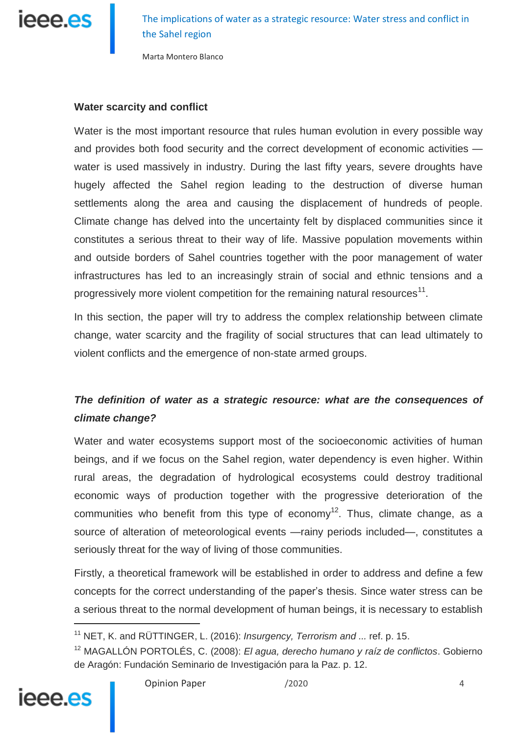

Marta Montero Blanco

#### **Water scarcity and conflict**

Water is the most important resource that rules human evolution in every possible way and provides both food security and the correct development of economic activities water is used massively in industry. During the last fifty years, severe droughts have hugely affected the Sahel region leading to the destruction of diverse human settlements along the area and causing the displacement of hundreds of people. Climate change has delved into the uncertainty felt by displaced communities since it constitutes a serious threat to their way of life. Massive population movements within and outside borders of Sahel countries together with the poor management of water infrastructures has led to an increasingly strain of social and ethnic tensions and a progressively more violent competition for the remaining natural resources<sup>11</sup>.

In this section, the paper will try to address the complex relationship between climate change, water scarcity and the fragility of social structures that can lead ultimately to violent conflicts and the emergence of non-state armed groups.

## *The definition of water as a strategic resource: what are the consequences of climate change?*

Water and water ecosystems support most of the socioeconomic activities of human beings, and if we focus on the Sahel region, water dependency is even higher. Within rural areas, the degradation of hydrological ecosystems could destroy traditional economic ways of production together with the progressive deterioration of the communities who benefit from this type of economy<sup>12</sup>. Thus, climate change, as a source of alteration of meteorological events —rainy periods included—, constitutes a seriously threat for the way of living of those communities.

Firstly, a theoretical framework will be established in order to address and define a few concepts for the correct understanding of the paper's thesis. Since water stress can be a serious threat to the normal development of human beings, it is necessary to establish

<sup>12</sup> MAGALLÓN PORTOLÉS, C. (2008): *El agua, derecho humano y raíz de conflictos*. Gobierno de Aragón: Fundación Seminario de Investigación para la Paz. p. 12.



<sup>11</sup> NET, K. and RÜTTINGER, L. (2016): *Insurgency, Terrorism and ...* ref. p. 15.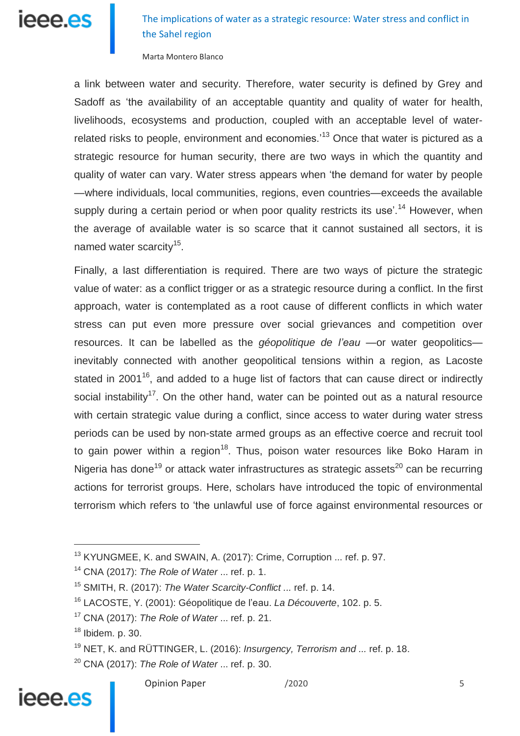The implications of water as a strategic resource: Water stress and conflict in the Sahel region

Marta Montero Blanco

a link between water and security. Therefore, water security is defined by Grey and Sadoff as 'the availability of an acceptable quantity and quality of water for health, livelihoods, ecosystems and production, coupled with an acceptable level of waterrelated risks to people, environment and economies.<sup>13</sup> Once that water is pictured as a strategic resource for human security, there are two ways in which the quantity and quality of water can vary. Water stress appears when 'the demand for water by people —where individuals, local communities, regions, even countries—exceeds the available supply during a certain period or when poor quality restricts its use'.<sup>14</sup> However, when the average of available water is so scarce that it cannot sustained all sectors, it is named water scarcity<sup>15</sup>.

Finally, a last differentiation is required. There are two ways of picture the strategic value of water: as a conflict trigger or as a strategic resource during a conflict. In the first approach, water is contemplated as a root cause of different conflicts in which water stress can put even more pressure over social grievances and competition over resources. It can be labelled as the *géopolitique de l'eau —*or water geopolitics inevitably connected with another geopolitical tensions within a region, as Lacoste stated in 2001<sup>16</sup>, and added to a huge list of factors that can cause direct or indirectly social instability<sup>17</sup>. On the other hand, water can be pointed out as a natural resource with certain strategic value during a conflict, since access to water during water stress periods can be used by non-state armed groups as an effective coerce and recruit tool to gain power within a region<sup>18</sup>. Thus, poison water resources like Boko Haram in Nigeria has done<sup>19</sup> or attack water infrastructures as strategic assets<sup>20</sup> can be recurring actions for terrorist groups. Here, scholars have introduced the topic of environmental terrorism which refers to 'the unlawful use of force against environmental resources or

## ieee.es

<sup>13</sup> KYUNGMEE, K. and SWAIN, A. (2017): Crime, Corruption ... ref. p. 97.

<sup>14</sup> CNA (2017): *The Role of Water* ... ref. p. 1.

<sup>15</sup> SMITH, R. (2017): *The Water Scarcity-Conflict ...* ref. p. 14.

<sup>16</sup> LACOSTE, Y. (2001): Géopolitique de l'eau. *La Découverte*, 102. p. 5.

<sup>17</sup> CNA (2017): *The Role of Water* ... ref. p. 21.

<sup>18</sup> Ibidem*.* p. 30.

<sup>19</sup> NET, K. and RÜTTINGER, L. (2016): *Insurgency, Terrorism and ...* ref. p. 18.

<sup>20</sup> CNA (2017): *The Role of Water* ... ref. p. 30.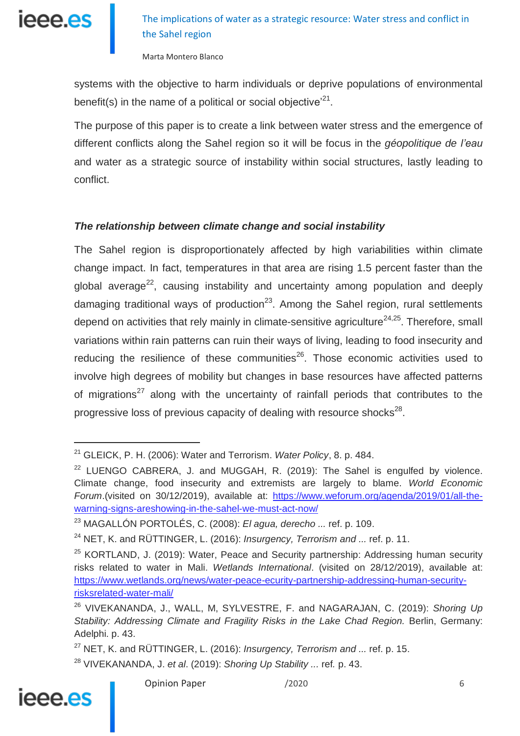

Marta Montero Blanco

systems with the objective to harm individuals or deprive populations of environmental benefit(s) in the name of a political or social objective $^{21}$ .

The purpose of this paper is to create a link between water stress and the emergence of different conflicts along the Sahel region so it will be focus in the *géopolitique de l'eau* and water as a strategic source of instability within social structures, lastly leading to conflict.

### *The relationship between climate change and social instability*

The Sahel region is disproportionately affected by high variabilities within climate change impact. In fact, temperatures in that area are rising 1.5 percent faster than the global average<sup>22</sup>, causing instability and uncertainty among population and deeply damaging traditional ways of production<sup>23</sup>. Among the Sahel region, rural settlements depend on activities that rely mainly in climate-sensitive agriculture<sup>24,25</sup>. Therefore, small variations within rain patterns can ruin their ways of living, leading to food insecurity and reducing the resilience of these communities $^{26}$ . Those economic activities used to involve high degrees of mobility but changes in base resources have affected patterns of migrations<sup>27</sup> along with the uncertainty of rainfall periods that contributes to the progressive loss of previous capacity of dealing with resource shocks<sup>28</sup>.

<sup>28</sup> VIVEKANANDA, J. *et al*. (2019): *Shoring Up Stability ...* ref*.* p. 43.



<sup>21</sup> GLEICK, P. H. (2006): Water and Terrorism. *Water Policy*, 8. p. 484.

 $22$  LUENGO CABRERA, J. and MUGGAH, R. (2019): The Sahel is engulfed by violence. Climate change, food insecurity and extremists are largely to blame. *World Economic Forum*.(visited on 30/12/2019), available at: [https://www.weforum.org/agenda/2019/01/all-the](https://www.weforum.org/agenda/2019/01/all-the-warning-signs-areshowing-in-the-sahel-we-must-act-now/)[warning-signs-areshowing-in-the-sahel-we-must-act-now/](https://www.weforum.org/agenda/2019/01/all-the-warning-signs-areshowing-in-the-sahel-we-must-act-now/)

<sup>23</sup> MAGALLÓN PORTOLÉS, C. (2008): *El agua, derecho ...* ref. p. 109.

<sup>24</sup> NET, K. and RÜTTINGER, L. (2016): *Insurgency, Terrorism and ...* ref. p. 11.

 $25$  KORTLAND, J. (2019): Water, Peace and Security partnership: Addressing human security risks related to water in Mali. *Wetlands International*. (visited on 28/12/2019), available at: [https://www.wetlands.org/news/water-peace-ecurity-partnership-addressing-human-security](https://www.wetlands.org/news/water-peace-ecurity-partnership-addressing-human-security-risksrelated-water-mali/)[risksrelated-water-mali/](https://www.wetlands.org/news/water-peace-ecurity-partnership-addressing-human-security-risksrelated-water-mali/)

<sup>26</sup> VIVEKANANDA, J., WALL, M, SYLVESTRE, F. and NAGARAJAN, C. (2019): *Shoring Up Stability: Addressing Climate and Fragility Risks in the Lake Chad Region.* Berlin, Germany: Adelphi. p. 43.

<sup>27</sup> NET, K. and RÜTTINGER, L. (2016): *Insurgency, Terrorism and ...* ref. p. 15.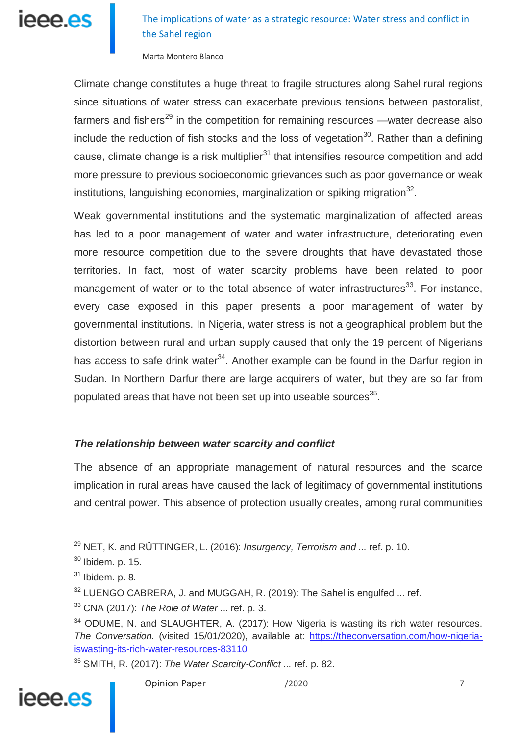## The implications of water as a strategic resource: Water stress and conflict in the Sahel region

Marta Montero Blanco

Climate change constitutes a huge threat to fragile structures along Sahel rural regions since situations of water stress can exacerbate previous tensions between pastoralist, farmers and fishers<sup>29</sup> in the competition for remaining resources —water decrease also include the reduction of fish stocks and the loss of vegetation<sup>30</sup>. Rather than a defining cause, climate change is a risk multiplier $^{31}$  that intensifies resource competition and add more pressure to previous socioeconomic grievances such as poor governance or weak institutions, languishing economies, marginalization or spiking migration $32$ .

Weak governmental institutions and the systematic marginalization of affected areas has led to a poor management of water and water infrastructure, deteriorating even more resource competition due to the severe droughts that have devastated those territories. In fact, most of water scarcity problems have been related to poor management of water or to the total absence of water infrastructures<sup>33</sup>. For instance, every case exposed in this paper presents a poor management of water by governmental institutions. In Nigeria, water stress is not a geographical problem but the distortion between rural and urban supply caused that only the 19 percent of Nigerians has access to safe drink water<sup>34</sup>. Another example can be found in the Darfur region in Sudan. In Northern Darfur there are large acquirers of water, but they are so far from populated areas that have not been set up into useable sources $^{35}$ .

### *The relationship between water scarcity and conflict*

The absence of an appropriate management of natural resources and the scarce implication in rural areas have caused the lack of legitimacy of governmental institutions and central power. This absence of protection usually creates, among rural communities

<sup>35</sup> SMITH, R. (2017): *The Water Scarcity-Conflict ...* ref. p. 82.



<sup>29</sup> NET, K. and RÜTTINGER, L. (2016): *Insurgency, Terrorism and ...* ref. p. 10.

 $30$  Ibidem. p. 15.

<sup>31</sup> Ibidem. p. 8*.*

 $32$  LUENGO CABRERA, J. and MUGGAH, R. (2019): The Sahel is engulfed ... ref.

<sup>33</sup> CNA (2017): *The Role of Water* ... ref. p. 3.

 $34$  ODUME, N. and SLAUGHTER, A. (2017): How Nigeria is wasting its rich water resources. *The Conversation.* (visited 15/01/2020), available at: [https://theconversation.com/how-nigeria](https://theconversation.com/how-nigeria-iswasting-its-rich-water-resources-83110)[iswasting-its-rich-water-resources-83110](https://theconversation.com/how-nigeria-iswasting-its-rich-water-resources-83110)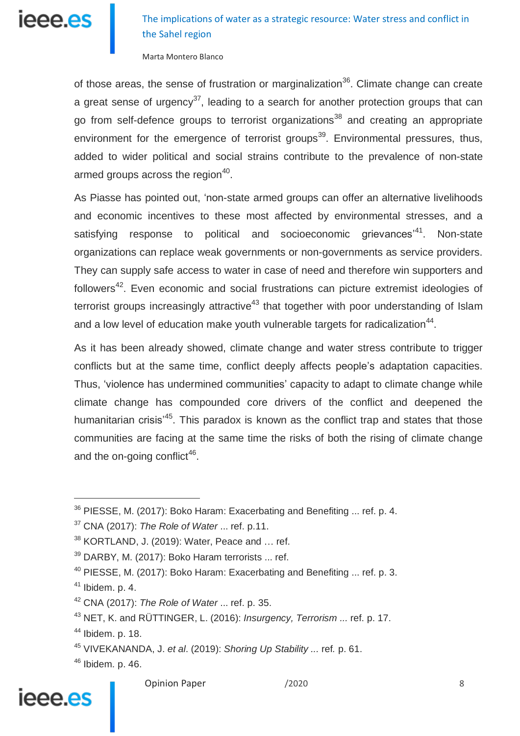## The implications of water as a strategic resource: Water stress and conflict in the Sahel region

Marta Montero Blanco

of those areas, the sense of frustration or marginalization<sup>36</sup>. Climate change can create a great sense of urgency<sup>37</sup>, leading to a search for another protection groups that can go from self-defence groups to terrorist organizations<sup>38</sup> and creating an appropriate environment for the emergence of terrorist groups<sup>39</sup>. Environmental pressures, thus, added to wider political and social strains contribute to the prevalence of non-state armed groups across the region $40$ .

As Piasse has pointed out, 'non-state armed groups can offer an alternative livelihoods and economic incentives to these most affected by environmental stresses, and a satisfying response to political and socioeconomic grievances<sup>,41</sup>. Non-state organizations can replace weak governments or non-governments as service providers. They can supply safe access to water in case of need and therefore win supporters and followers<sup>42</sup>. Even economic and social frustrations can picture extremist ideologies of terrorist groups increasingly attractive<sup>43</sup> that together with poor understanding of Islam and a low level of education make youth vulnerable targets for radicalization $44$ .

As it has been already showed, climate change and water stress contribute to trigger conflicts but at the same time, conflict deeply affects people's adaptation capacities. Thus, 'violence has undermined communities' capacity to adapt to climate change while climate change has compounded core drivers of the conflict and deepened the humanitarian crisis<sup>'45</sup>. This paradox is known as the conflict trap and states that those communities are facing at the same time the risks of both the rising of climate change and the on-going conflict<sup>46</sup>.

 $\overline{a}$ 

Opinion Paper /2020 /2020 8

# ieee es

<sup>36</sup> PIESSE, M. (2017): Boko Haram: Exacerbating and Benefiting ... ref. p. 4.

<sup>37</sup> CNA (2017): *The Role of Water* ... ref. p.11.

 $38$  KORTLAND, J. (2019): Water, Peace and  $\ldots$  ref.

<sup>39</sup> DARBY, M. (2017): Boko Haram terrorists ... ref.

 $40$  PIESSE, M. (2017): Boko Haram: Exacerbating and Benefiting  $\ldots$  ref. p. 3.

 $41$  Ibidem. p. 4.

<sup>42</sup> CNA (2017): *The Role of Water* ... ref. p. 35.

<sup>43</sup> NET, K. and RÜTTINGER, L. (2016): *Insurgency, Terrorism ...* ref. p. 17.

<sup>44</sup> Ibidem. p. 18.

<sup>45</sup> VIVEKANANDA, J. *et al*. (2019): *Shoring Up Stability ...* ref*.* p. 61.

<sup>46</sup> Ibidem*.* p. 46.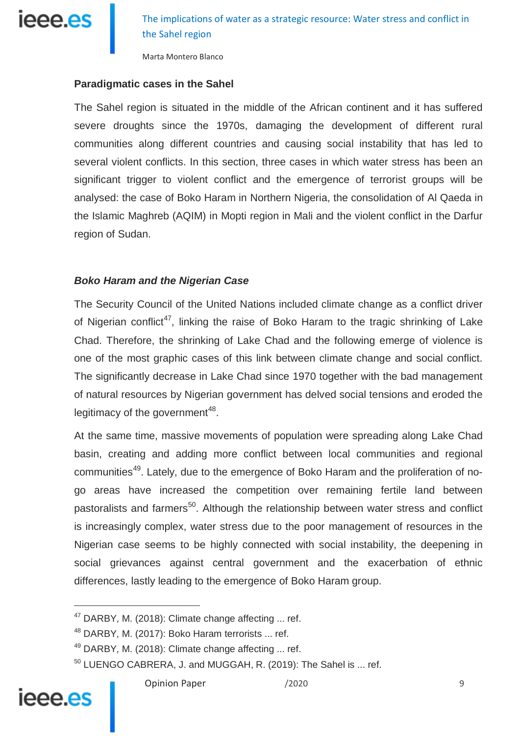

Marta Montero Blanco

#### **Paradigmatic cases in the Sahel**

The Sahel region is situated in the middle of the African continent and it has suffered severe droughts since the 1970s, damaging the development of different rural communities along different countries and causing social instability that has led to several violent conflicts. In this section, three cases in which water stress has been an significant trigger to violent conflict and the emergence of terrorist groups will be analysed: the case of Boko Haram in Northern Nigeria, the consolidation of Al Qaeda in the Islamic Maghreb (AQIM) in Mopti region in Mali and the violent conflict in the Darfur region of Sudan.

#### *Boko Haram and the Nigerian Case*

The Security Council of the United Nations included climate change as a conflict driver of Nigerian conflict<sup>47</sup>, linking the raise of Boko Haram to the tragic shrinking of Lake Chad. Therefore, the shrinking of Lake Chad and the following emerge of violence is one of the most graphic cases of this link between climate change and social conflict. The significantly decrease in Lake Chad since 1970 together with the bad management of natural resources by Nigerian government has delved social tensions and eroded the legitimacy of the government<sup>48</sup>.

At the same time, massive movements of population were spreading along Lake Chad basin, creating and adding more conflict between local communities and regional communities<sup>49</sup>. Lately, due to the emergence of Boko Haram and the proliferation of nogo areas have increased the competition over remaining fertile land between pastoralists and farmers<sup>50</sup>. Although the relationship between water stress and conflict is increasingly complex, water stress due to the poor management of resources in the Nigerian case seems to be highly connected with social instability, the deepening in social grievances against central government and the exacerbation of ethnic differences, lastly leading to the emergence of Boko Haram group.

## ieee.es

<sup>&</sup>lt;sup>47</sup> DARBY, M. (2018): Climate change affecting ... ref.

<sup>&</sup>lt;sup>48</sup> DARBY, M. (2017): Boko Haram terrorists ... ref.

<sup>49</sup> DARBY, M. (2018): Climate change affecting ... ref.

<sup>&</sup>lt;sup>50</sup> LUENGO CABRERA, J. and MUGGAH, R. (2019): The Sahel is ... ref.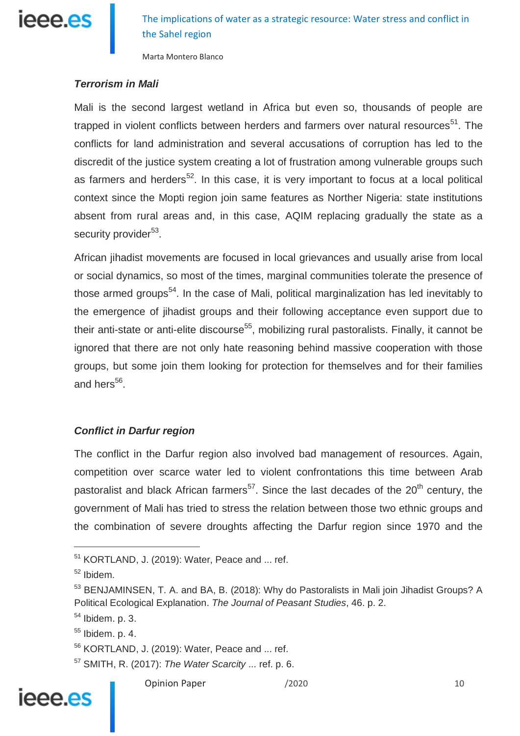

Marta Montero Blanco

### *Terrorism in Mali*

Mali is the second largest wetland in Africa but even so, thousands of people are trapped in violent conflicts between herders and farmers over natural resources<sup>51</sup>. The conflicts for land administration and several accusations of corruption has led to the discredit of the justice system creating a lot of frustration among vulnerable groups such as farmers and herders<sup>52</sup>. In this case, it is very important to focus at a local political context since the Mopti region join same features as Norther Nigeria: state institutions absent from rural areas and, in this case, AQIM replacing gradually the state as a security provider<sup>53</sup>.

African jihadist movements are focused in local grievances and usually arise from local or social dynamics, so most of the times, marginal communities tolerate the presence of those armed groups<sup>54</sup>. In the case of Mali, political marginalization has led inevitably to the emergence of jihadist groups and their following acceptance even support due to their anti-state or anti-elite discourse<sup>55</sup>, mobilizing rural pastoralists. Finally, it cannot be ignored that there are not only hate reasoning behind massive cooperation with those groups, but some join them looking for protection for themselves and for their families and hers<sup>56</sup>.

### *Conflict in Darfur region*

The conflict in the Darfur region also involved bad management of resources. Again, competition over scarce water led to violent confrontations this time between Arab pastoralist and black African farmers<sup>57</sup>. Since the last decades of the 20<sup>th</sup> century, the government of Mali has tried to stress the relation between those two ethnic groups and the combination of severe droughts affecting the Darfur region since 1970 and the

j

<sup>57</sup> SMITH, R. (2017): *The Water Scarcity* ... ref. p. 6.



## ieee.es

 $51$  KORTLAND, J. (2019): Water, Peace and  $...$  ref.

<sup>52</sup> Ibidem*.*

<sup>&</sup>lt;sup>53</sup> BENJAMINSEN, T. A. and BA, B. (2018): Why do Pastoralists in Mali join Jihadist Groups? A Political Ecological Explanation. *The Journal of Peasant Studies*, 46. p. 2.

 $54$  Ibidem. p. 3.

 $55$  Ibidem. p. 4.

<sup>56</sup> KORTLAND, J. (2019): Water, Peace and ... ref.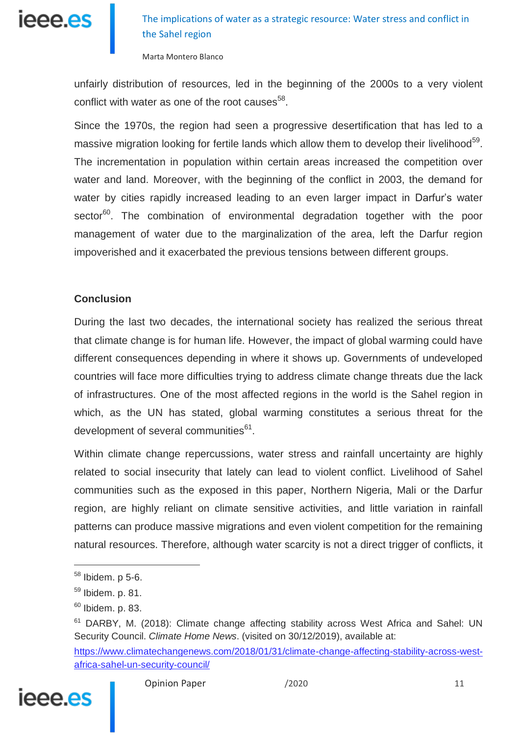

Marta Montero Blanco

unfairly distribution of resources, led in the beginning of the 2000s to a very violent conflict with water as one of the root causes<sup>58</sup>.

Since the 1970s, the region had seen a progressive desertification that has led to a massive migration looking for fertile lands which allow them to develop their livelihood<sup>59</sup>. The incrementation in population within certain areas increased the competition over water and land. Moreover, with the beginning of the conflict in 2003, the demand for water by cities rapidly increased leading to an even larger impact in Darfur's water sector<sup>60</sup>. The combination of environmental degradation together with the poor management of water due to the marginalization of the area, left the Darfur region impoverished and it exacerbated the previous tensions between different groups.

### **Conclusion**

During the last two decades, the international society has realized the serious threat that climate change is for human life. However, the impact of global warming could have different consequences depending in where it shows up. Governments of undeveloped countries will face more difficulties trying to address climate change threats due the lack of infrastructures. One of the most affected regions in the world is the Sahel region in which, as the UN has stated, global warming constitutes a serious threat for the development of several communities<sup>61</sup>.

Within climate change repercussions, water stress and rainfall uncertainty are highly related to social insecurity that lately can lead to violent conflict. Livelihood of Sahel communities such as the exposed in this paper, Northern Nigeria, Mali or the Darfur region, are highly reliant on climate sensitive activities, and little variation in rainfall patterns can produce massive migrations and even violent competition for the remaining natural resources. Therefore, although water scarcity is not a direct trigger of conflicts, it

[https://www.climatechangenews.com/2018/01/31/climate-change-affecting-stability-across-west](https://www.climatechangenews.com/2018/01/31/climate-change-affecting-stability-across-west-africa-sahel-un-security-council/)[africa-sahel-un-security-council/](https://www.climatechangenews.com/2018/01/31/climate-change-affecting-stability-across-west-africa-sahel-un-security-council/)



 $58$  Ibidem, p 5-6.

 $59$  Ibidem. p. 81.

 $60$  Ibidem. p. 83.

<sup>&</sup>lt;sup>61</sup> DARBY, M. (2018): Climate change affecting stability across West Africa and Sahel: UN Security Council. *Climate Home News*. (visited on 30/12/2019), available at: